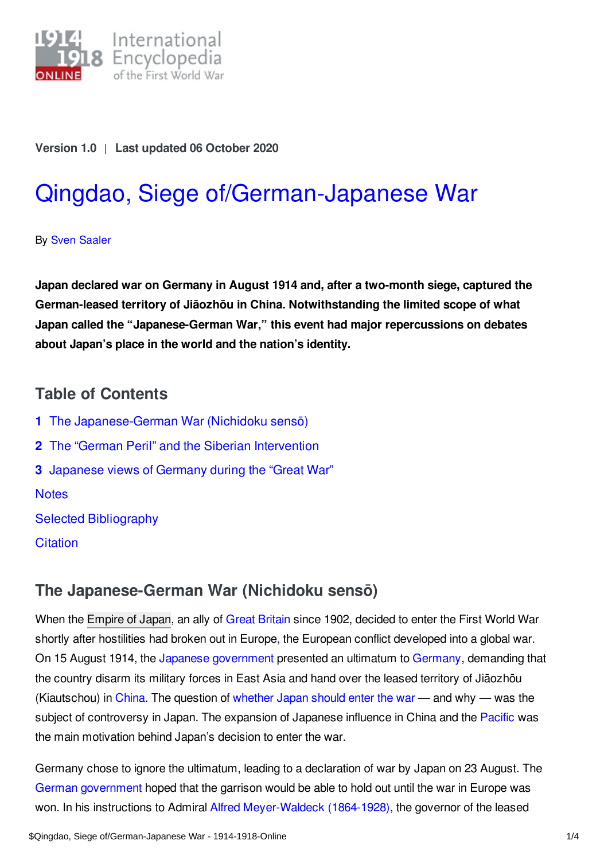

**Version 1.0** | **Last updated 06 October 2020**

# Qingdao, Siege [of/German-Japanese](https://encyclopedia.1914-1918-online.net/article/qingdao_siege_ofgerman-japanese_war) War

By Sven [Saaler](https://encyclopedia.1914-1918-online.net/contributors/Sven_Saaler)

**Japan declared war on Germany in August 1914 and, after a two-month siege, captured the German-leased territory of Jiāozhōu in China. Notwithstanding the limited scope of what Japan called the "Japanese-German War," this event had major repercussions on debates about Japan's place in the world and the nation's identity.**

## **Table of Contents**

- **1** The [Japanese-German](#page-0-0) War (Nichidoku sensō)
- **2** The "German Peril" and the Siberian [Intervention](#page-1-0)
- **3** [Japanese](#page-1-1) views of Germany during the "Great War"

**[Notes](#page-2-0)** 

Selected [Bibliography](#page-3-0)

**[Citation](#page-3-1)** 

# <span id="page-0-0"></span>**The Japanese-German War (Nichidoku sensō)**

When the [Empire](/article/japan) of Japan, an ally of Great [Britain](/article/great_britain) since 1902, decided to enter the First World War shortly after hostilities had broken out in Europe, the European conflict developed into a global war. On 15 August 1914, the Japanese [government](/article/governments_parliaments_and_parties_japan) presented an ultimatum to [Germany](/article/germany), demanding that the country disarm its military forces in East Asia and hand over the leased territory of Jiāozhōu (Kiautschou) in [China.](/article/china) The question of [whether](/article/war_aims_and_war_aims_discussions_japan) Japan should enter the war — and why — was the subject of controversy in Japan. The expansion of Japanese influence in China and the [Pacific](/article/pacific_islands) was the main motivation behind Japan's decision to enter the war.

Germany chose to ignore the ultimatum, leading to a declaration of war by Japan on 23 August. The German [government](/article/governments_parliaments_and_parties_germany) hoped that the garrison would be able to hold out until the war in Europe was won. In his instructions to Admiral Alfred [Meyer-Waldeck](/index/names/117570370) (1864-1928), the governor of the leased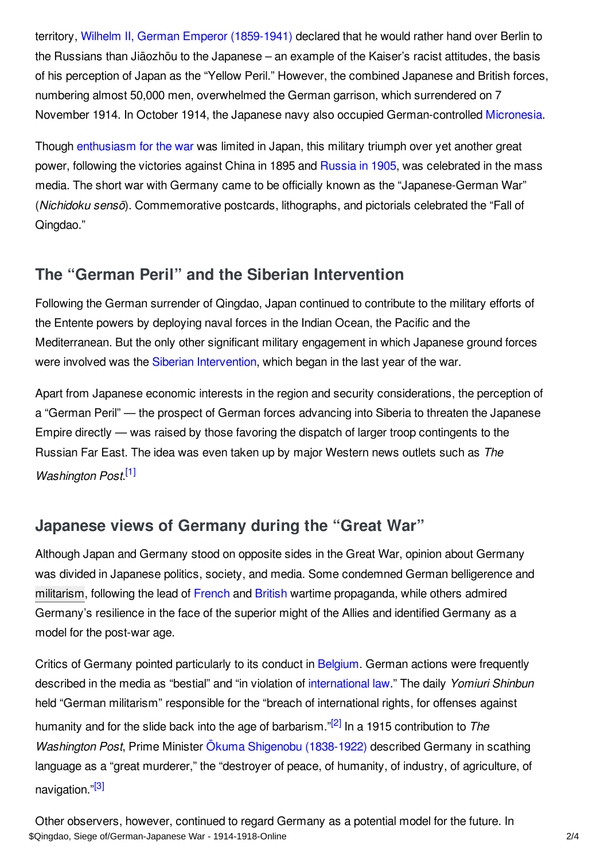territory, Wilhelm II, German Emperor [\(1859-1941\)](/index/names/118632892) declared that he would rather hand over Berlin to the Russians than Jiāozhōu to the Japanese – an example of the Kaiser's racist attitudes, the basis of his perception of Japan as the "Yellow Peril." However, the combined Japanese and British forces, numbering almost 50,000 men, overwhelmed the German garrison, which surrendered on 7 November 1914. In October 1914, the Japanese navy also occupied German-controlled [Micronesia](/article/micronesia).

Though [enthusiasm](/article/willingly_to_war_public_response_to_the_outbreak_of_war) for the war was limited in Japan, this military triumph over yet another great power, following the victories against China in 1895 and [Russia](/article/russian-japanese-war) in 1905, was celebrated in the mass media. The short war with Germany came to be officially known as the "Japanese-German War" (*Nichidoku sensō*). Commemorative postcards, lithographs, and pictorials celebrated the "Fall of Qingdao."

# <span id="page-1-0"></span>**The "German Peril" and the Siberian Intervention**

Following the German surrender of Qingdao, Japan continued to contribute to the military efforts of the Entente powers by deploying naval forces in the Indian Ocean, the Pacific and the Mediterranean. But the only other significant military engagement in which Japanese ground forces were involved was the Siberian [Intervention](/article/siberian_intervention_1918-1922), which began in the last year of the war.

Apart from Japanese economic interests in the region and security considerations, the perception of a "German Peril" — the prospect of German forces advancing into Siberia to threaten the Japanese Empire directly — was raised by those favoring the dispatch of larger troop contingents to the Russian Far East. The idea was even taken up by major Western news outlets such as *The Washington Post*. [\[1\]](#page-2-1)

# <span id="page-1-2"></span><span id="page-1-1"></span>**Japanese views of Germany during the "Great War"**

Although Japan and Germany stood on opposite sides in the Great War, opinion about Germany was divided in Japanese politics, society, and media. Some condemned German belligerence and [militarism](/article/militarism), following the lead of [French](/article/propaganda_at_home_france) and [British](/article/propaganda_at_home_great_britain_and_ireland) wartime propaganda, while others admired Germany's resilience in the face of the superior might of the Allies and identified Germany as a model for the post-war age.

<span id="page-1-4"></span><span id="page-1-3"></span>Critics of Germany pointed particularly to its conduct in [Belgium](/article/belgium). German actions were frequently described in the media as "bestial" and "in violation of [international](/article/international_law_and_the_laws_of_war) law." The daily *Yomiuri Shinbun* held "German militarism" responsible for the "breach of international rights, for offenses against humanity and for the slide back into the age of barbarism." [\[2\]](#page-2-2) In a 1915 contribution to *The Washington Post*, Prime Minister Ōkuma Shigenobu [\(1838-1922\)](/index/names/119096420) described Germany in scathing language as a "great murderer," the "destroyer of peace, of humanity, of industry, of agriculture, of navigation."<sup>[\[3\]](#page-2-3)</sup>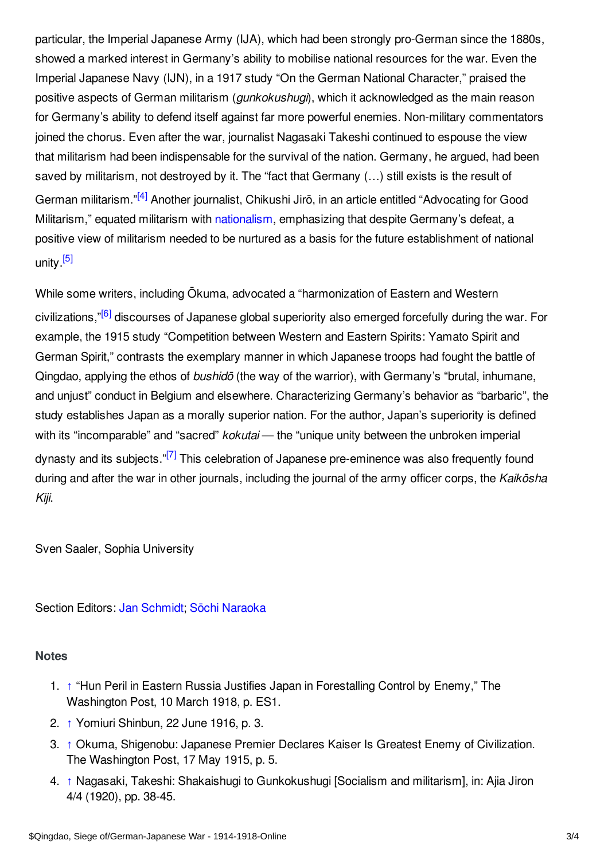particular, the Imperial Japanese Army (IJA), which had been strongly pro-German since the 1880s, showed a marked interest in Germany's ability to mobilise national resources for the war. Even the Imperial Japanese Navy (IJN), in a 1917 study "On the German National Character," praised the positive aspects of German militarism (*gunkokushugi*), which it acknowledged as the main reason for Germany's ability to defend itself against far more powerful enemies. Non-military commentators joined the chorus. Even after the war, journalist Nagasaki Takeshi continued to espouse the view that militarism had been indispensable for the survival of the nation. Germany, he argued, had been saved by militarism, not destroyed by it. The "fact that Germany (…) still exists is the result of German militarism."<sup>[\[4\]](#page-2-4)</sup> Another journalist, Chikushi Jirō, in an article entitled "Advocating for Good Militarism," equated militarism with [nationalism](/article/nationalism), emphasizing that despite Germany's defeat, a positive view of militarism needed to be nurtured as a basis for the future establishment of national unity.<sup>[\[5\]](#page-3-2)</sup>

<span id="page-2-7"></span><span id="page-2-6"></span><span id="page-2-5"></span>While some writers, including Ōkuma, advocated a "harmonization of Eastern and Western civilizations,"<sup>[\[6\]](#page-3-3)</sup> discourses of Japanese global superiority also emerged forcefully during the war. For example, the 1915 study "Competition between Western and Eastern Spirits: Yamato Spirit and German Spirit," contrasts the exemplary manner in which Japanese troops had fought the battle of Qingdao, applying the ethos of *bushidō* (the way of the warrior), with Germany's "brutal, inhumane, and unjust" conduct in Belgium and elsewhere. Characterizing Germany's behavior as "barbaric", the study establishes Japan as a morally superior nation. For the author, Japan's superiority is defined with its "incomparable" and "sacred" *kokutai* — the "unique unity between the unbroken imperial dynasty and its subjects."<sup>[\[7\]](#page-3-4)</sup> This celebration of Japanese pre-eminence was also frequently found during and after the war in other journals, including the journal of the army officer corps, the *Kaikōsha Kiji*.

<span id="page-2-8"></span>Sven Saaler, Sophia University

Section Editors: Jan [Schmidt](https://encyclopedia.1914-1918-online.net/contributors/Jan_Schmidt); Sōchi [Naraoka](https://encyclopedia.1914-1918-online.net/contributors/Sochi_Naraoka)

#### <span id="page-2-0"></span>**Notes**

- <span id="page-2-1"></span>1. [↑](#page-1-2) "Hun Peril in Eastern Russia Justifies Japan in Forestalling Control by Enemy," The Washington Post, 10 March 1918, p. ES1.
- <span id="page-2-2"></span>2. [↑](#page-1-3) Yomiuri Shinbun, 22 June 1916, p. 3.
- <span id="page-2-3"></span>3. [↑](#page-1-4) Okuma, Shigenobu: Japanese Premier Declares Kaiser Is Greatest Enemy of Civilization. The Washington Post, 17 May 1915, p. 5.
- <span id="page-2-4"></span>4. [↑](#page-2-5) Nagasaki, Takeshi: Shakaishugi to Gunkokushugi [Socialism and militarism], in: Ajia Jiron 4/4 (1920), pp. 38-45.